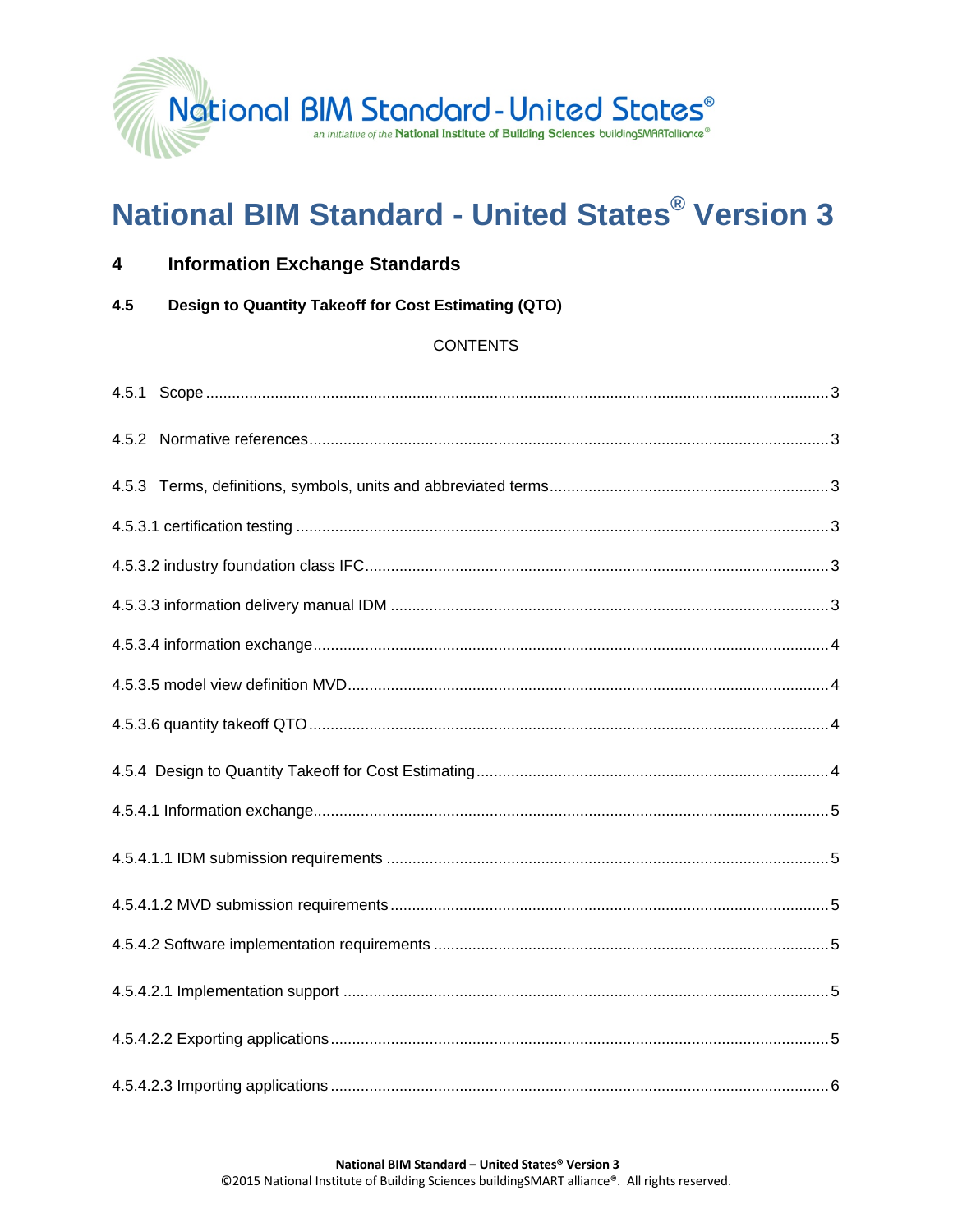

# **National BIM Standard - United States® Version 3**

| 4 | <b>Information Exchange Standards</b> |  |
|---|---------------------------------------|--|
|   |                                       |  |

4.5 Design to Quantity Takeoff for Cost Estimating (QTO)

# **CONTENTS**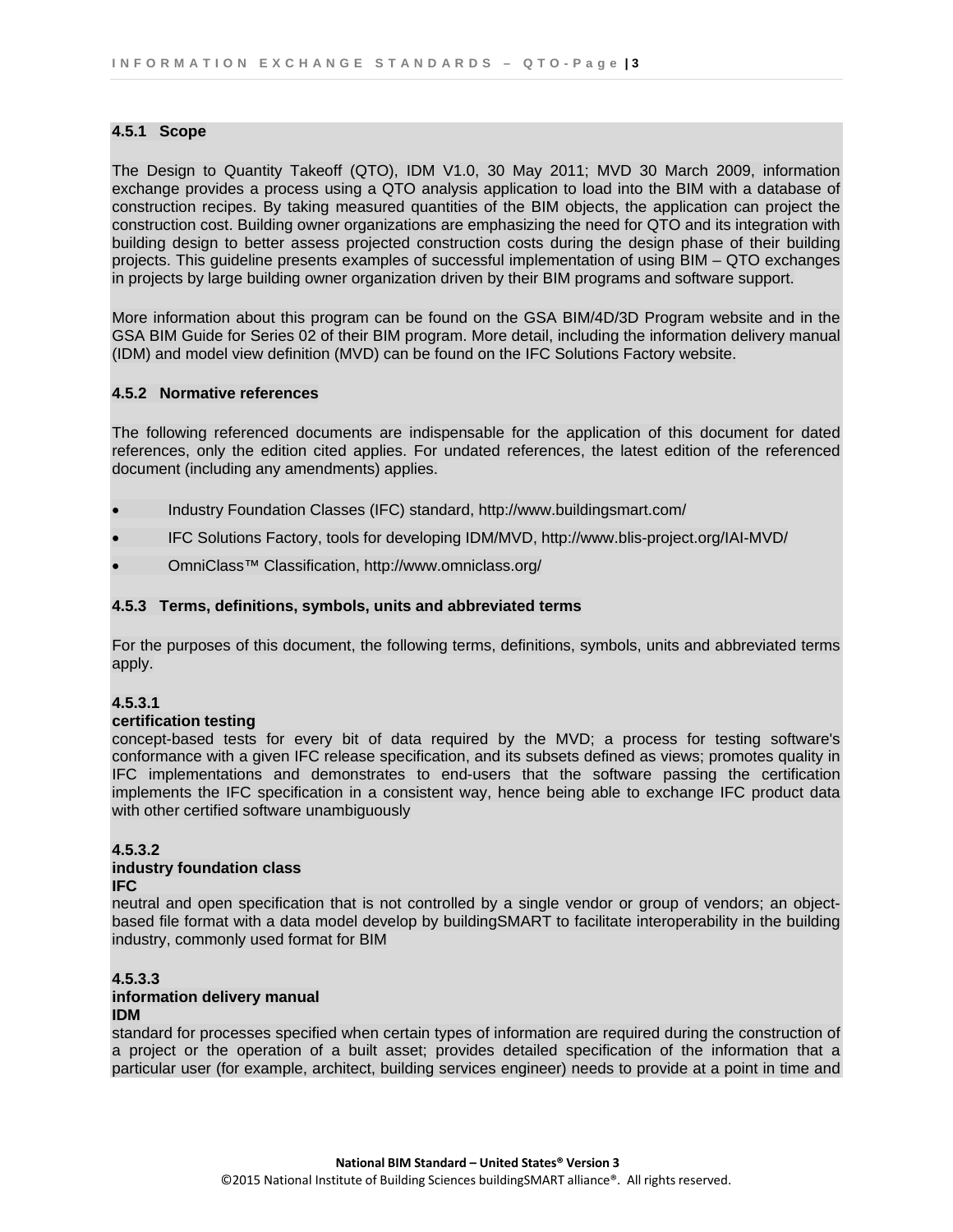## **4.5.1 Scope**

The Design to Quantity Takeoff (QTO), IDM V1.0, 30 May 2011; MVD 30 March 2009, information exchange provides a process using a QTO analysis application to load into the BIM with a database of construction recipes. By taking measured quantities of the BIM objects, the application can project the construction cost. Building owner organizations are emphasizing the need for QTO and its integration with building design to better assess projected construction costs during the design phase of their building projects. This guideline presents examples of successful implementation of using BIM – QTO exchanges in projects by large building owner organization driven by their BIM programs and software support.

More information about this program can be found on the GSA BIM/4D/3D Program website and in the GSA BIM Guide for Series 02 of their BIM program. More detail, including the information delivery manual (IDM) and model view definition (MVD) can be found on the IFC Solutions Factory website.

## **4.5.2 Normative references**

The following referenced documents are indispensable for the application of this document for dated references, only the edition cited applies. For undated references, the latest edition of the referenced document (including any amendments) applies.

- Industry Foundation Classes (IFC) standard, http://www.buildingsmart.com/
- IFC Solutions Factory, tools for developing IDM/MVD, http://www.blis-project.org/IAI-MVD/
- OmniClass™ Classification, http://www.omniclass.org/

#### **4.5.3 Terms, definitions, symbols, units and abbreviated terms**

For the purposes of this document, the following terms, definitions, symbols, units and abbreviated terms apply.

## **4.5.3.1**

#### **certification testing**

concept-based tests for every bit of data required by the MVD; a process for testing software's conformance with a given IFC release specification, and its subsets defined as views; promotes quality in IFC implementations and demonstrates to end-users that the software passing the certification implements the IFC specification in a consistent way, hence being able to exchange IFC product data with other certified software unambiguously

## **4.5.3.2**

#### **industry foundation class IFC**

neutral and open specification that is not controlled by a single vendor or group of vendors; an objectbased file format with a data model develop by buildingSMART to facilitate interoperability in the building industry, commonly used format for BIM

#### **4.5.3.3 information delivery manual IDM**

standard for processes specified when certain types of information are required during the construction of a project or the operation of a built asset; provides detailed specification of the information that a particular user (for example, architect, building services engineer) needs to provide at a point in time and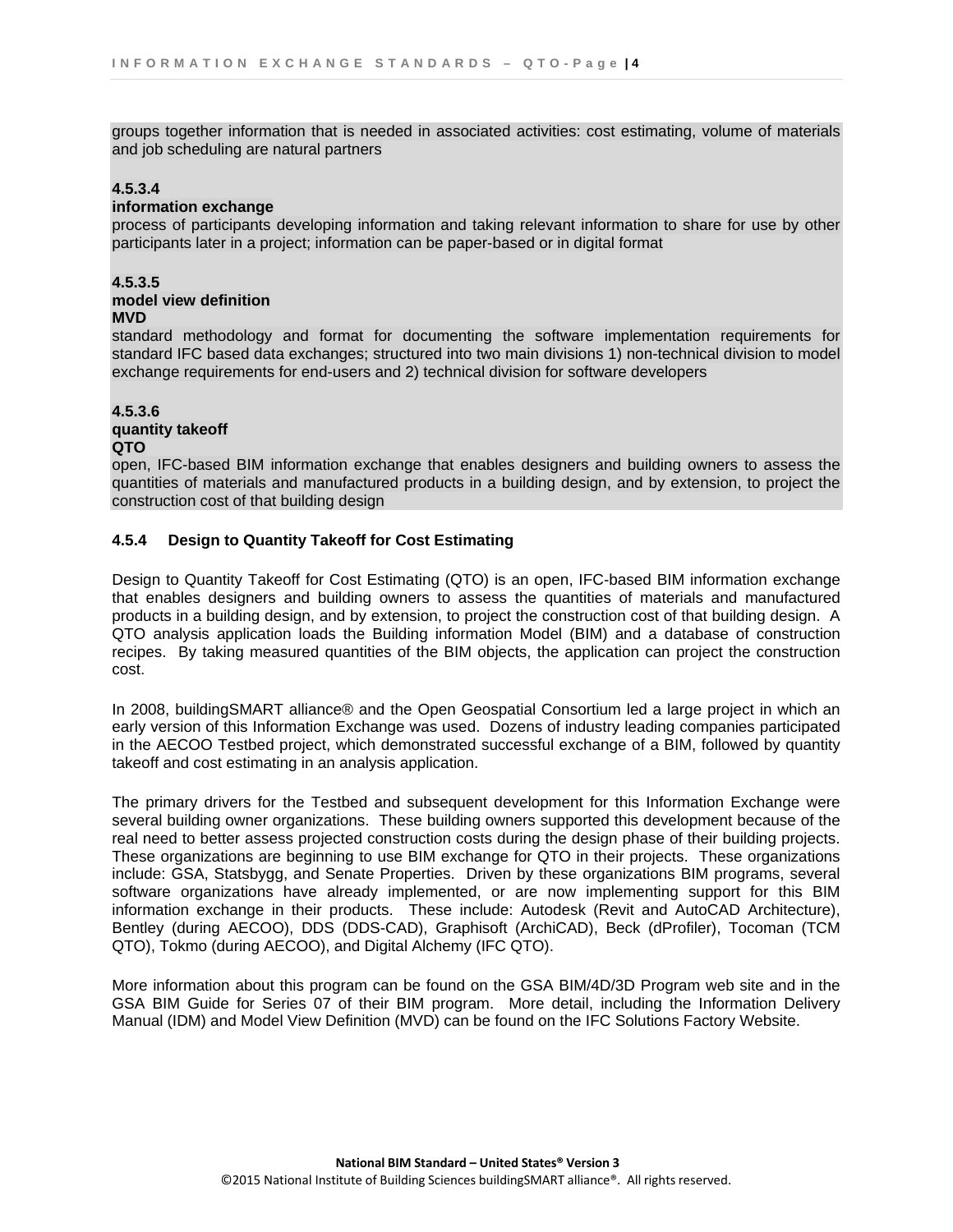groups together information that is needed in associated activities: cost estimating, volume of materials and job scheduling are natural partners

## **4.5.3.4**

## **information exchange**

process of participants developing information and taking relevant information to share for use by other participants later in a project; information can be paper-based or in digital format

## **4.5.3.5**

#### **model view definition MVD**

standard methodology and format for documenting the software implementation requirements for standard IFC based data exchanges; structured into two main divisions 1) non-technical division to model exchange requirements for end-users and 2) technical division for software developers

## **4.5.3.6**

**quantity takeoff** 

## **QTO**

open, IFC-based BIM information exchange that enables designers and building owners to assess the quantities of materials and manufactured products in a building design, and by extension, to project the construction cost of that building design

## **4.5.4 Design to Quantity Takeoff for Cost Estimating**

Design to Quantity Takeoff for Cost Estimating (QTO) is an open, IFC-based BIM information exchange that enables designers and building owners to assess the quantities of materials and manufactured products in a building design, and by extension, to project the construction cost of that building design. A QTO analysis application loads the Building information Model (BIM) and a database of construction recipes. By taking measured quantities of the BIM objects, the application can project the construction cost.

In 2008, buildingSMART alliance® and the Open Geospatial Consortium led a large project in which an early version of this Information Exchange was used. Dozens of industry leading companies participated in the AECOO Testbed project, which demonstrated successful exchange of a BIM, followed by quantity takeoff and cost estimating in an analysis application.

The primary drivers for the Testbed and subsequent development for this Information Exchange were several building owner organizations. These building owners supported this development because of the real need to better assess projected construction costs during the design phase of their building projects. These organizations are beginning to use BIM exchange for QTO in their projects. These organizations include: GSA, Statsbygg, and Senate Properties. Driven by these organizations BIM programs, several software organizations have already implemented, or are now implementing support for this BIM information exchange in their products. These include: Autodesk (Revit and AutoCAD Architecture), Bentley (during AECOO), DDS (DDS-CAD), Graphisoft (ArchiCAD), Beck (dProfiler), Tocoman (TCM QTO), Tokmo (during AECOO), and Digital Alchemy (IFC QTO).

More information about this program can be found on the GSA BIM/4D/3D Program web site and in the GSA BIM Guide for Series 07 of their BIM program. More detail, including the Information Delivery Manual (IDM) and Model View Definition (MVD) can be found on the IFC Solutions Factory Website.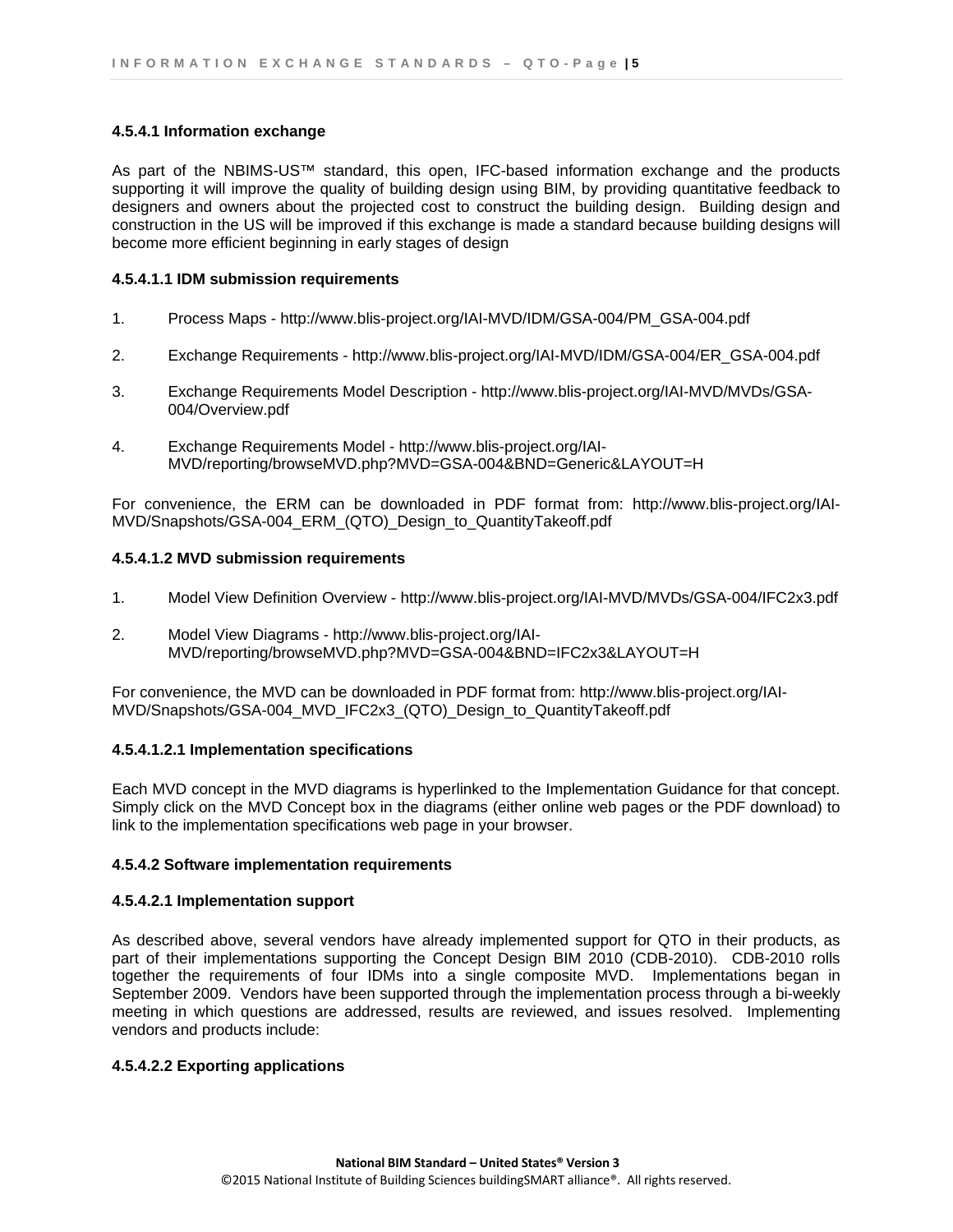#### **4.5.4.1 Information exchange**

As part of the NBIMS-US™ standard, this open, IFC-based information exchange and the products supporting it will improve the quality of building design using BIM, by providing quantitative feedback to designers and owners about the projected cost to construct the building design. Building design and construction in the US will be improved if this exchange is made a standard because building designs will become more efficient beginning in early stages of design

## **4.5.4.1.1 IDM submission requirements**

- 1. Process Maps http://www.blis-project.org/IAI-MVD/IDM/GSA-004/PM\_GSA-004.pdf
- 2. Exchange Requirements http://www.blis-project.org/IAI-MVD/IDM/GSA-004/ER\_GSA-004.pdf
- 3. Exchange Requirements Model Description http://www.blis-project.org/IAI-MVD/MVDs/GSA-004/Overview.pdf
- 4. Exchange Requirements Model http://www.blis-project.org/IAI-MVD/reporting/browseMVD.php?MVD=GSA-004&BND=Generic&LAYOUT=H

For convenience, the ERM can be downloaded in PDF format from: http://www.blis-project.org/IAI-MVD/Snapshots/GSA-004\_ERM\_(QTO)\_Design\_to\_QuantityTakeoff.pdf

## **4.5.4.1.2 MVD submission requirements**

- 1. Model View Definition Overview http://www.blis-project.org/IAI-MVD/MVDs/GSA-004/IFC2x3.pdf
- 2. Model View Diagrams http://www.blis-project.org/IAI-MVD/reporting/browseMVD.php?MVD=GSA-004&BND=IFC2x3&LAYOUT=H

For convenience, the MVD can be downloaded in PDF format from: http://www.blis-project.org/IAI-MVD/Snapshots/GSA-004\_MVD\_IFC2x3\_(QTO)\_Design\_to\_QuantityTakeoff.pdf

## **4.5.4.1.2.1 Implementation specifications**

Each MVD concept in the MVD diagrams is hyperlinked to the Implementation Guidance for that concept. Simply click on the MVD Concept box in the diagrams (either online web pages or the PDF download) to link to the implementation specifications web page in your browser.

## **4.5.4.2 Software implementation requirements**

#### **4.5.4.2.1 Implementation support**

As described above, several vendors have already implemented support for QTO in their products, as part of their implementations supporting the Concept Design BIM 2010 (CDB-2010). CDB-2010 rolls together the requirements of four IDMs into a single composite MVD. Implementations began in September 2009. Vendors have been supported through the implementation process through a bi-weekly meeting in which questions are addressed, results are reviewed, and issues resolved. Implementing vendors and products include:

## **4.5.4.2.2 Exporting applications**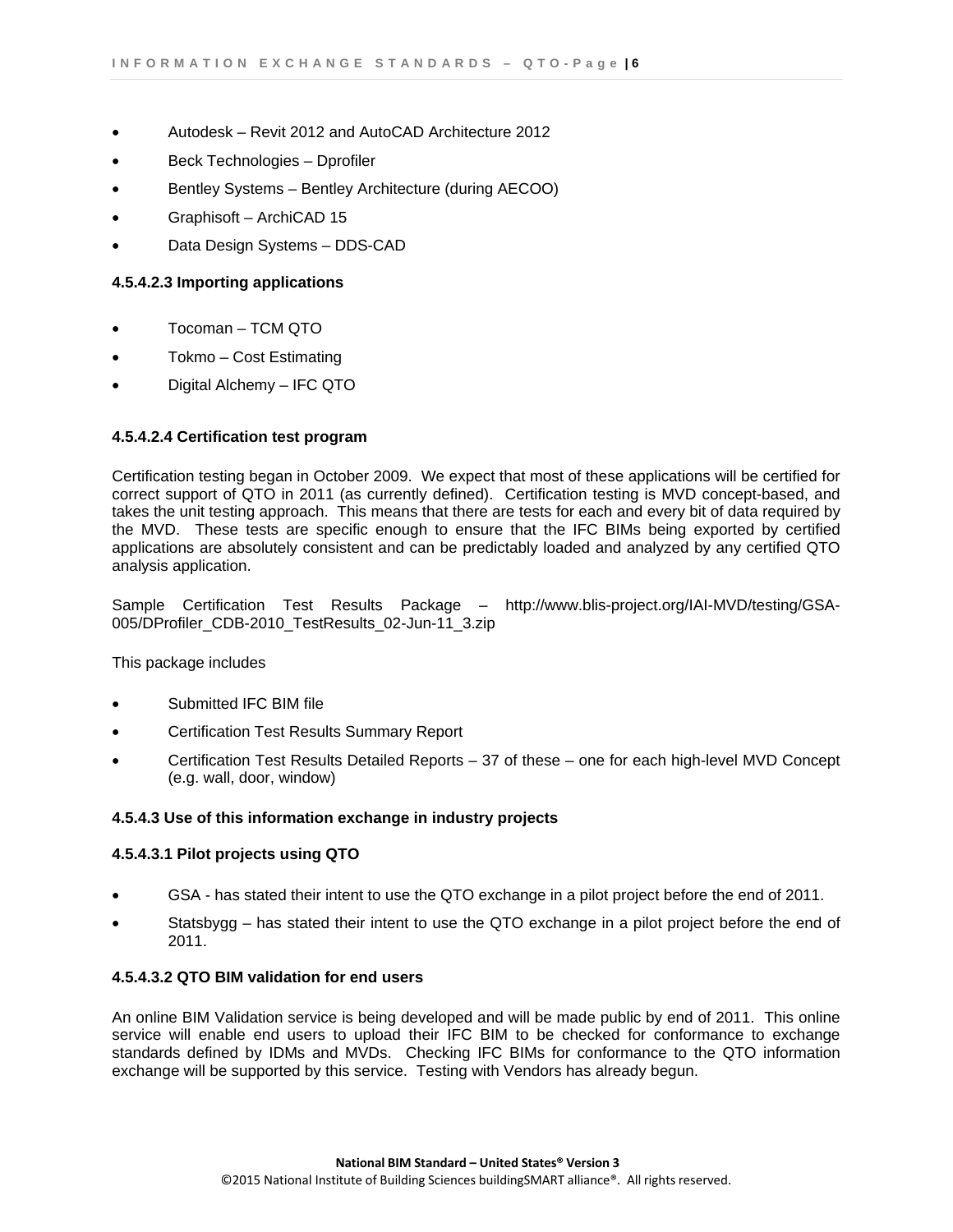- Autodesk Revit 2012 and AutoCAD Architecture 2012
- Beck Technologies Dprofiler
- Bentley Systems Bentley Architecture (during AECOO)
- Graphisoft ArchiCAD 15
- Data Design Systems DDS-CAD

## **4.5.4.2.3 Importing applications**

- Tocoman TCM QTO
- Tokmo Cost Estimating
- Digital Alchemy IFC QTO

## **4.5.4.2.4 Certification test program**

Certification testing began in October 2009. We expect that most of these applications will be certified for correct support of QTO in 2011 (as currently defined). Certification testing is MVD concept-based, and takes the unit testing approach. This means that there are tests for each and every bit of data required by the MVD. These tests are specific enough to ensure that the IFC BIMs being exported by certified applications are absolutely consistent and can be predictably loaded and analyzed by any certified QTO analysis application.

Sample Certification Test Results Package – http://www.blis-project.org/IAI-MVD/testing/GSA-005/DProfiler\_CDB-2010\_TestResults\_02-Jun-11\_3.zip

This package includes

- Submitted IFC BIM file
- Certification Test Results Summary Report
- Certification Test Results Detailed Reports 37 of these one for each high-level MVD Concept (e.g. wall, door, window)

#### **4.5.4.3 Use of this information exchange in industry projects**

#### **4.5.4.3.1 Pilot projects using QTO**

- GSA has stated their intent to use the QTO exchange in a pilot project before the end of 2011.
- Statsbygg has stated their intent to use the QTO exchange in a pilot project before the end of 2011.

#### **4.5.4.3.2 QTO BIM validation for end users**

An online BIM Validation service is being developed and will be made public by end of 2011. This online service will enable end users to upload their IFC BIM to be checked for conformance to exchange standards defined by IDMs and MVDs. Checking IFC BIMs for conformance to the QTO information exchange will be supported by this service. Testing with Vendors has already begun.